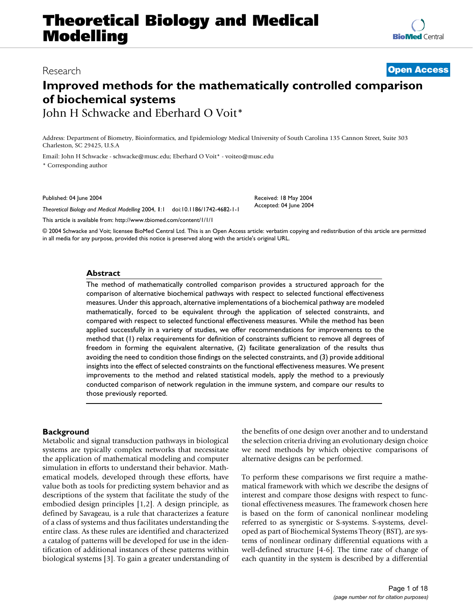# **Theoretical Biology and Medical Modelling**

# Research **[Open Access](http://www.biomedcentral.com/info/about/charter/)**

**[BioMed](http://www.biomedcentral.com/)** Central

## **Improved methods for the mathematically controlled comparison of biochemical systems** John H Schwacke and Eberhard O Voit\*

Address: Department of Biometry, Bioinformatics, and Epidemiology Medical University of South Carolina 135 Cannon Street, Suite 303 Charleston, SC 29425, U.S.A

Email: John H Schwacke - schwacke@musc.edu; Eberhard O Voit\* - voiteo@musc.edu \* Corresponding author

Published: 04 June 2004

*Theoretical Biology and Medical Modelling* 2004, **1**:1 doi:10.1186/1742-4682-1-1

[This article is available from: http://www.tbiomed.com/content/1/1/1](http://www.tbiomed.com/content/1/1/1)

Received: 18 May 2004 Accepted: 04 June 2004

© 2004 Schwacke and Voit; licensee BioMed Central Ltd. This is an Open Access article: verbatim copying and redistribution of this article are permitted in all media for any purpose, provided this notice is preserved along with the article's original URL.

#### **Abstract**

The method of mathematically controlled comparison provides a structured approach for the comparison of alternative biochemical pathways with respect to selected functional effectiveness measures. Under this approach, alternative implementations of a biochemical pathway are modeled mathematically, forced to be equivalent through the application of selected constraints, and compared with respect to selected functional effectiveness measures. While the method has been applied successfully in a variety of studies, we offer recommendations for improvements to the method that (1) relax requirements for definition of constraints sufficient to remove all degrees of freedom in forming the equivalent alternative, (2) facilitate generalization of the results thus avoiding the need to condition those findings on the selected constraints, and (3) provide additional insights into the effect of selected constraints on the functional effectiveness measures. We present improvements to the method and related statistical models, apply the method to a previously conducted comparison of network regulation in the immune system, and compare our results to those previously reported.

#### **Background**

Metabolic and signal transduction pathways in biological systems are typically complex networks that necessitate the application of mathematical modeling and computer simulation in efforts to understand their behavior. Mathematical models, developed through these efforts, have value both as tools for predicting system behavior and as descriptions of the system that facilitate the study of the embodied design principles [1,2]. A design principle, as defined by Savageau, is a rule that characterizes a feature of a class of systems and thus facilitates understanding the entire class. As these rules are identified and characterized a catalog of patterns will be developed for use in the identification of additional instances of these patterns within biological systems [3]. To gain a greater understanding of the benefits of one design over another and to understand the selection criteria driving an evolutionary design choice we need methods by which objective comparisons of alternative designs can be performed.

To perform these comparisons we first require a mathematical framework with which we describe the designs of interest and compare those designs with respect to functional effectiveness measures. The framework chosen here is based on the form of canonical nonlinear modeling referred to as synergistic or S-systems. S-systems, developed as part of Biochemical Systems Theory (BST), are systems of nonlinear ordinary differential equations with a well-defined structure [4-6]. The time rate of change of each quantity in the system is described by a differential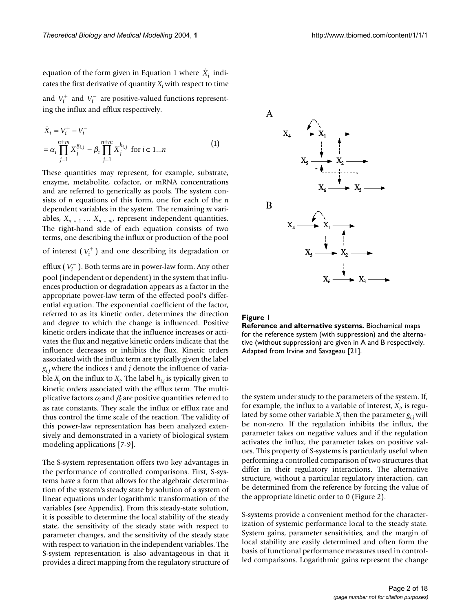equation of the form given in Equation 1 where  $\dot{X}_i$  indicates the first derivative of quantity  $X_i$  with respect to time and  $V_i^+$  and  $V_i^-$  are positive-valued functions representing the influx and efflux respectively.

$$
\dot{X}_i = V_i^+ - V_i^-
$$
\n
$$
= \alpha_i \prod_{j=1}^{n+m} X_j^{g_{i,j}} - \beta_i \prod_{j=1}^{n+m} X_j^{h_{i,j}} \text{ for } i \in 1...n
$$
\n(1)

These quantities may represent, for example, substrate, enzyme, metabolite, cofactor, or mRNA concentrations and are referred to generically as pools. The system consists of *n* equations of this form, one for each of the *n* dependent variables in the system. The remaining *m* variables,  $X_{n+1}$   $\ldots$   $X_{n+m}$  represent independent quantities. The right-hand side of each equation consists of two terms, one describing the influx or production of the pool of interest  $(V_i^+)$  and one describing its degradation or

efflux  $(V_i^-)$ . Both terms are in power-law form. Any other pool (independent or dependent) in the system that influences production or degradation appears as a factor in the appropriate power-law term of the effected pool's differential equation. The exponential coefficient of the factor, referred to as its kinetic order, determines the direction and degree to which the change is influenced. Positive kinetic orders indicate that the influence increases or activates the flux and negative kinetic orders indicate that the influence decreases or inhibits the flux. Kinetic orders associated with the influx term are typically given the label *gi*,*j* where the indices *i* and *j* denote the influence of variable  $X_j$  on the influx to  $X_i$ . The label  $h_{i,j}$  is typically given to kinetic orders associated with the efflux term. The multiplicative factors <sup>α</sup>*i* and β*i* are positive quantities referred to as rate constants. They scale the influx or efflux rate and thus control the time scale of the reaction. The validity of this power-law representation has been analyzed extensively and demonstrated in a variety of biological system modeling applications [7-9].

The S-system representation offers two key advantages in the performance of controlled comparisons. First, S-systems have a form that allows for the algebraic determination of the system's steady state by solution of a system of linear equations under logarithmic transformation of the variables (see Appendix). From this steady-state solution, it is possible to determine the local stability of the steady state, the sensitivity of the steady state with respect to parameter changes, and the sensitivity of the steady state with respect to variation in the independent variables. The S-system representation is also advantageous in that it provides a direct mapping from the regulatory structure of



#### **Figure 1**

**Reference and alternative systems.** Biochemical maps for the reference system (with suppression) and the alternative (without suppression) are given in A and B respectively. Adapted from Irvine and Savageau [21].

the system under study to the parameters of the system. If, for example, the influx to a variable of interest,  $X_{i}$ , is regulated by some other variable  $X_i$  then the parameter  $g_{i,i}$  will be non-zero. If the regulation inhibits the influx, the parameter takes on negative values and if the regulation activates the influx, the parameter takes on positive values. This property of S-systems is particularly useful when performing a controlled comparison of two structures that differ in their regulatory interactions. The alternative structure, without a particular regulatory interaction, can be determined from the reference by forcing the value of the appropriate kinetic order to 0 (Figure [2](#page-2-0)).

S-systems provide a convenient method for the characterization of systemic performance local to the steady state. System gains, parameter sensitivities, and the margin of local stability are easily determined and often form the basis of functional performance measures used in controlled comparisons. Logarithmic gains represent the change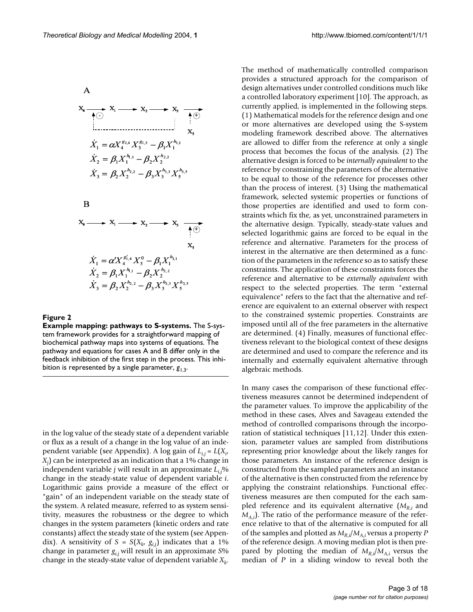<span id="page-2-0"></span>A  
\n
$$
X_4 \longrightarrow X_1 \longrightarrow X_2 \longrightarrow X_3 \longrightarrow
$$
\n
$$
\uparrow \oplus \qquad \qquad \downarrow \oplus \qquad \qquad \downarrow \oplus
$$
\n
$$
X_1 = \alpha X_4^{g_{1,4}} X_3^{g_{1,3}} - \beta_1 X_1^{h_{1,1}}
$$
\n
$$
\dot{X}_2 = \beta_1 X_1^{h_{1,1}} - \beta_2 X_2^{h_{2,2}}
$$
\n
$$
\dot{X}_3 = \beta_2 X_2^{h_{2,2}} - \beta_3 X_3^{h_{3,3}} X_3^{h_{3,3}}
$$

B

$$
X_4 \longrightarrow X_1 \longrightarrow X_2 \longrightarrow X_3 \longrightarrow X_4
$$
  
\n
$$
X_1 = \alpha' X_4^{g'_{1,4}} X_3^0 - \beta_1 X_1^{h_{1,1}}
$$
  
\n
$$
X_2 = \beta_1 X_1^{h_{1,1}} - \beta_2 X_2^{h_{2,2}}
$$
  
\n
$$
X_3 = \beta_2 X_2^{h_{2,2}} - \beta_3 X_3^{h_{3,3}} X_3^{h_{3,3}}
$$

#### **Figure 2**

**Example mapping: pathways to S-systems.** The S-system framework provides for a straightforward mapping of biochemical pathway maps into systems of equations. The pathway and equations for cases A and B differ only in the feedback inhibition of the first step in the process. This inhibition is represented by a single parameter,  $g_{1,3}$ .

in the log value of the steady state of a dependent variable or flux as a result of a change in the log value of an independent variable (see Appendix). A log gain of *Li*,*j* = *L*(*Xi* , *Xj* ) can be interpreted as an indication that a 1% change in independent variable *j* will result in an approximate *Li*,*<sup>j</sup>* % change in the steady-state value of dependent variable *i*. Logarithmic gains provide a measure of the effect or "gain" of an independent variable on the steady state of the system. A related measure, referred to as system sensitivity, measures the robustness or the degree to which changes in the system parameters (kinetic orders and rate constants) affect the steady state of the system (see Appendix). A sensitivity of  $S = S(X_k, g_{i,j})$  indicates that a 1% change in parameter *gi*,*j* will result in an approximate *S*% change in the steady-state value of dependent variable  $X_k$ .

The method of mathematically controlled comparison provides a structured approach for the comparison of design alternatives under controlled conditions much like a controlled laboratory experiment [10]. The approach, as currently applied, is implemented in the following steps. (1) Mathematical models for the reference design and one or more alternatives are developed using the S-system modeling framework described above. The alternatives are allowed to differ from the reference at only a single process that becomes the focus of the analysis. (2) The alternative design is forced to be *internally equivalent* to the reference by constraining the parameters of the alternative to be equal to those of the reference for processes other than the process of interest. (3) Using the mathematical framework, selected systemic properties or functions of those properties are identified and used to form constraints which fix the, as yet, unconstrained parameters in the alternative design. Typically, steady-state values and selected logarithmic gains are forced to be equal in the reference and alternative. Parameters for the process of interest in the alternative are then determined as a function of the parameters in the reference so as to satisfy these constraints. The application of these constraints forces the reference and alternative to be *externally equivalent* with respect to the selected properties. The term "external equivalence" refers to the fact that the alternative and reference are equivalent to an external observer with respect to the constrained systemic properties. Constraints are imposed until all of the free parameters in the alternative are determined. (4) Finally, measures of functional effectiveness relevant to the biological context of these designs are determined and used to compare the reference and its internally and externally equivalent alternative through algebraic methods.

In many cases the comparison of these functional effectiveness measures cannot be determined independent of the parameter values. To improve the applicability of the method in these cases, Alves and Savageau extended the method of controlled comparisons through the incorporation of statistical techniques [11,12]. Under this extension, parameter values are sampled from distributions representing prior knowledge about the likely ranges for those parameters. An instance of the reference design is constructed from the sampled parameters and an instance of the alternative is then constructed from the reference by applying the constraint relationships. Functional effectiveness measures are then computed for the each sampled reference and its equivalent alternative  $(M_{R,i}$  and *MA*,*<sup>i</sup>* ). The ratio of the performance measure of the reference relative to that of the alternative is computed for all of the samples and plotted as *MR*,*<sup>i</sup>* /*MA*,*i* versus a property *P* of the reference design. A moving median plot is then prepared by plotting the median of *MR*,*<sup>i</sup>* /*MA*,*i* versus the median of *P* in a sliding window to reveal both the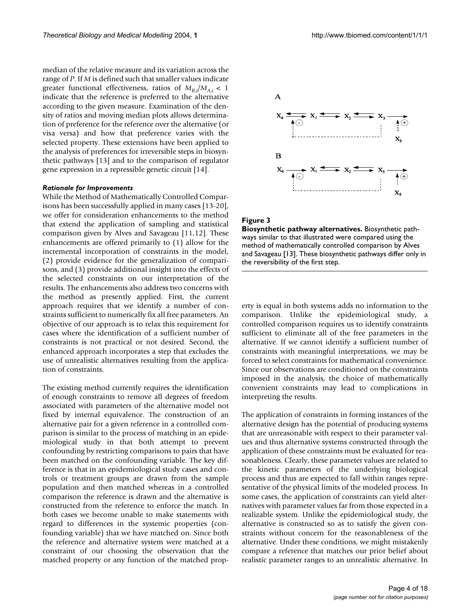median of the relative measure and its variation across the range of *P*. If *M* is defined such that smaller values indicate greater functional effectiveness, ratios of *MR*,*<sup>i</sup>* /*MA*,*i* < 1 indicate that the reference is preferred to the alternative according to the given measure. Examination of the density of ratios and moving median plots allows determination of preference for the reference over the alternative (or visa versa) and how that preference varies with the selected property. These extensions have been applied to the analysis of preferences for irreversible steps in biosynthetic pathways [13] and to the comparison of regulator gene expression in a repressible genetic circuit [14].

#### *Rationale for Improvements*

While the Method of Mathematically Controlled Comparisons has been successfully applied in many cases [13-20], we offer for consideration enhancements to the method that extend the application of sampling and statistical comparison given by Alves and Savageau [11,12]. These enhancements are offered primarily to (1) allow for the incremental incorporation of constraints in the model, (2) provide evidence for the generalization of comparisons, and (3) provide additional insight into the effects of the selected constraints on our interpretation of the results. The enhancements also address two concerns with the method as presently applied. First, the current approach requires that we identify a number of constraints sufficient to numerically fix all free parameters. An objective of our approach is to relax this requirement for cases where the identification of a sufficient number of constraints is not practical or not desired. Second, the enhanced approach incorporates a step that excludes the use of unrealistic alternatives resulting from the application of constraints.

The existing method currently requires the identification of enough constraints to remove all degrees of freedom associated with parameters of the alternative model not fixed by internal equivalence. The construction of an alternative pair for a given reference in a controlled comparison is similar to the process of matching in an epidemiological study in that both attempt to prevent confounding by restricting comparisons to pairs that have been matched on the confounding variable. The key difference is that in an epidemiological study cases and controls or treatment groups are drawn from the sample population and then matched whereas in a controlled comparison the reference is drawn and the alternative is constructed from the reference to enforce the match. In both cases we become unable to make statements with regard to differences in the systemic properties (confounding variable) that we have matched on. Since both the reference and alternative system were matched at a constraint of our choosing the observation that the matched property or any function of the matched prop-



#### **Figure 3**

**Biosynthetic pathway alternatives.** Biosynthetic pathways similar to that illustrated were compared using the method of mathematically controlled comparison by Alves and Savageau [13]. These biosynthetic pathways differ only in the reversibility of the first step.

erty is equal in both systems adds no information to the comparison. Unlike the epidemiological study, a controlled comparison requires us to identify constraints sufficient to eliminate all of the free parameters in the alternative. If we cannot identify a sufficient number of constraints with meaningful interpretations, we may be forced to select constraints for mathematical convenience. Since our observations are conditioned on the constraints imposed in the analysis, the choice of mathematically convenient constraints may lead to complications in interpreting the results.

The application of constraints in forming instances of the alternative design has the potential of producing systems that are unreasonable with respect to their parameter values and thus alternative systems constructed through the application of these constraints must be evaluated for reasonableness. Clearly, these parameter values are related to the kinetic parameters of the underlying biological process and thus are expected to fall within ranges representative of the physical limits of the modeled process. In some cases, the application of constraints can yield alternatives with parameter values far from those expected in a realizable system. Unlike the epidemiological study, the alternative is constructed so as to satisfy the given constraints without concern for the reasonableness of the alternative. Under these conditions, we might mistakenly compare a reference that matches our prior belief about realistic parameter ranges to an unrealistic alternative. In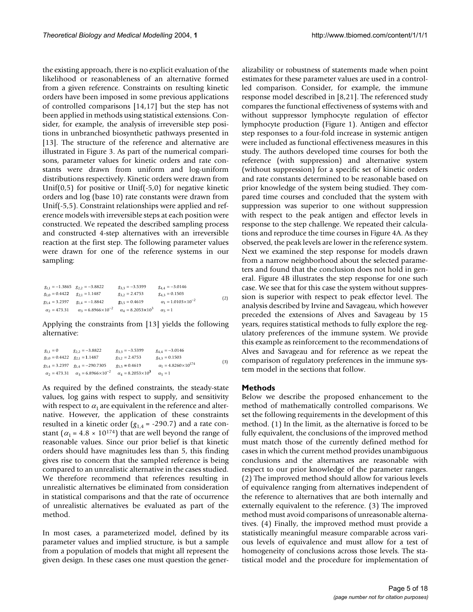the existing approach, there is no explicit evaluation of the likelihood or reasonableness of an alternative formed from a given reference. Constraints on resulting kinetic orders have been imposed in some previous applications of controlled comparisons [14,17] but the step has not been applied in methods using statistical extensions. Consider, for example, the analysis of irreversible step positions in unbranched biosynthetic pathways presented in [13]. The structure of the reference and alternative are illustrated in Figure 3. As part of the numerical comparisons, parameter values for kinetic orders and rate constants were drawn from uniform and log-uniform distributions respectively. Kinetic orders were drawn from Unif( $0.5$ ) for positive or Unif( $-5.0$ ) for negative kinetic orders and log (base 10) rate constants were drawn from Unif(-5,5). Constraint relationships were applied and reference models with irreversible steps at each position were constructed. We repeated the described sampling process and constructed 4-step alternatives with an irreversible reaction at the first step. The following parameter values were drawn for one of the reference systems in our sampling:

|                                       | $g_{1,1} = -1.3865$ $g_{2,2} = -3.8822$                                                               | $g_{3,3} = -3.5399$ | $g_{4,4} = -3.0146$                |     |
|---------------------------------------|-------------------------------------------------------------------------------------------------------|---------------------|------------------------------------|-----|
| $g_{1,0} = 0.4422$ $g_{2,1} = 1.1487$ |                                                                                                       | $g_{3,2} = 2.4753$  | $g_{4,3} = 0.1503$                 |     |
|                                       | $g_{5,4} = 3.2397$ $g_{1,4} = -1.8842$                                                                | $g_{5.5} = 0.4619$  | $\alpha_1 = 1.0103 \times 10^{-2}$ | (2) |
|                                       | $\alpha_2 = 473.31$ $\alpha_3 = 6.8966 \times 10^{-2}$ $\alpha_4 = 8.2053 \times 10^3$ $\alpha_5 = 1$ |                     |                                    |     |

Applying the constraints from [13] yields the following alternative:

| $g_{1,1} = 0$ | $g_{2,2} = -3.8822$                                                                                   | $g_{3,3} = -3.5399$ | $g_{4,4} = -3.0146$                 |     |
|---------------|-------------------------------------------------------------------------------------------------------|---------------------|-------------------------------------|-----|
|               | $g_{1,0} = 0.4422$ $g_{2,1} = 1.1487$                                                                 | $g_{3,2} = 2.4753$  | $g_{4,3} = 0.1503$                  |     |
|               | $g_{5,4} = 3.2397$ $g_{1,4} = -290.7305$                                                              | $g_{5.5} = 0.4619$  | $\alpha_1 = 4.8260 \times 10^{174}$ | (3) |
|               | $\alpha_2 = 473.31$ $\alpha_3 = 6.8966 \times 10^{-2}$ $\alpha_4 = 8.2053 \times 10^3$ $\alpha_5 = 1$ |                     |                                     |     |

As required by the defined constraints, the steady-state values, log gains with respect to supply, and sensitivity with respect to  $\alpha_1$  are equivalent in the reference and alternative. However, the application of these constraints resulted in a kinetic order  $(g_{1,4} = -290.7)$  and a rate constant ( $\alpha_1$  = 4.8 × 10<sup>174</sup>) that are well beyond the range of reasonable values. Since our prior belief is that kinetic orders should have magnitudes less than 5, this finding gives rise to concern that the sampled reference is being compared to an unrealistic alternative in the cases studied. We therefore recommend that references resulting in unrealistic alternatives be eliminated from consideration in statistical comparisons and that the rate of occurrence of unrealistic alternatives be evaluated as part of the method.

In most cases, a parameterized model, defined by its parameter values and implied structure, is but a sample from a population of models that might all represent the given design. In these cases one must question the generalizability or robustness of statements made when point estimates for these parameter values are used in a controlled comparison. Consider, for example, the immune response model described in [8,21]. The referenced study compares the functional effectiveness of systems with and without suppressor lymphocyte regulation of effector lymphocyte production (Figure 1). Antigen and effector step responses to a four-fold increase in systemic antigen were included as functional effectiveness measures in this study. The authors developed time courses for both the reference (with suppression) and alternative system (without suppression) for a specific set of kinetic orders and rate constants determined to be reasonable based on prior knowledge of the system being studied. They compared time courses and concluded that the system with suppression was superior to one without suppression with respect to the peak antigen and effector levels in response to the step challenge. We repeated their calculations and reproduce the time courses in Figure [4](#page-5-0)A. As they observed, the peak levels are lower in the reference system. Next we examined the step response for models drawn from a narrow neighborhood about the selected parameters and found that the conclusion does not hold in general. Figure [4](#page-5-0)B illustrates the step response for one such case. We see that for this case the system without suppression is superior with respect to peak effector level. The analysis described by Irvine and Savageau, which however preceded the extensions of Alves and Savageau by 15 years, requires statistical methods to fully explore the regulatory preferences of the immune system. We provide this example as reinforcement to the recommendations of Alves and Savageau and for reference as we repeat the comparison of regulatory preferences in the immune system model in the sections that follow.

#### **Methods**

Below we describe the proposed enhancement to the method of mathematically controlled comparisons. We set the following requirements in the development of this method. (1) In the limit, as the alternative is forced to be fully equivalent, the conclusions of the improved method must match those of the currently defined method for cases in which the current method provides unambiguous conclusions and the alternatives are reasonable with respect to our prior knowledge of the parameter ranges. (2) The improved method should allow for various levels of equivalence ranging from alternatives independent of the reference to alternatives that are both internally and externally equivalent to the reference. (3) The improved method must avoid comparisons of unreasonable alternatives. (4) Finally, the improved method must provide a statistically meaningful measure comparable across various levels of equivalence and must allow for a test of homogeneity of conclusions across those levels. The statistical model and the procedure for implementation of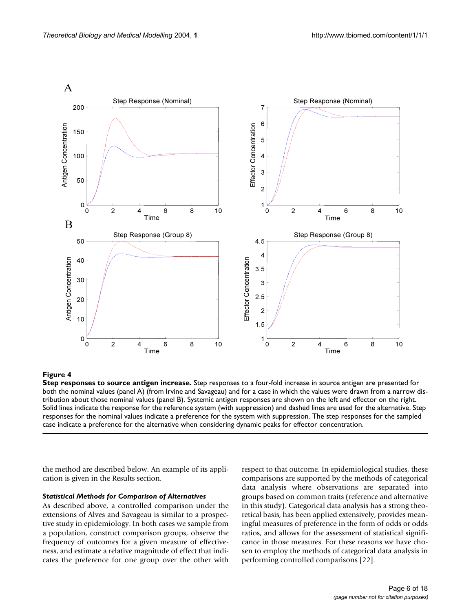<span id="page-5-0"></span>

#### **Figure 4**

**Step responses to source antigen increase.** Step responses to a four-fold increase in source antigen are presented for both the nominal values (panel A) (from Irvine and Savageau) and for a case in which the values were drawn from a narrow distribution about those nominal values (panel B). Systemic antigen responses are shown on the left and effector on the right. Solid lines indicate the response for the reference system (with suppression) and dashed lines are used for the alternative. Step responses for the nominal values indicate a preference for the system with suppression. The step responses for the sampled case indicate a preference for the alternative when considering dynamic peaks for effector concentration.

the method are described below. An example of its application is given in the Results section.

#### *Statistical Methods for Comparison of Alternatives*

As described above, a controlled comparison under the extensions of Alves and Savageau is similar to a prospective study in epidemiology. In both cases we sample from a population, construct comparison groups, observe the frequency of outcomes for a given measure of effectiveness, and estimate a relative magnitude of effect that indicates the preference for one group over the other with respect to that outcome. In epidemiological studies, these comparisons are supported by the methods of categorical data analysis where observations are separated into groups based on common traits (reference and alternative in this study). Categorical data analysis has a strong theoretical basis, has been applied extensively, provides meaningful measures of preference in the form of odds or odds ratios, and allows for the assessment of statistical significance in those measures. For these reasons we have chosen to employ the methods of categorical data analysis in performing controlled comparisons [22].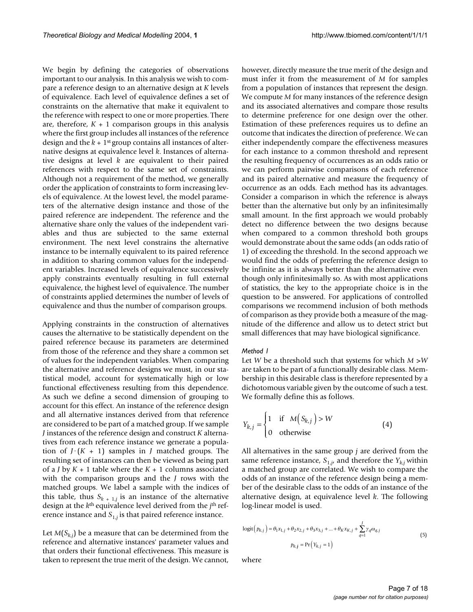We begin by defining the categories of observations important to our analysis. In this analysis we wish to compare a reference design to an alternative design at *K* levels of equivalence. Each level of equivalence defines a set of constraints on the alternative that make it equivalent to the reference with respect to one or more properties. There are, therefore,  $K + 1$  comparison groups in this analysis where the first group includes all instances of the reference design and the *k* + 1st group contains all instances of alternative designs at equivalence level *k*. Instances of alternative designs at level *k* are equivalent to their paired references with respect to the same set of constraints. Although not a requirement of the method, we generally order the application of constraints to form increasing levels of equivalence. At the lowest level, the model parameters of the alternative design instance and those of the paired reference are independent. The reference and the alternative share only the values of the independent variables and thus are subjected to the same external environment. The next level constrains the alternative instance to be internally equivalent to its paired reference in addition to sharing common values for the independent variables. Increased levels of equivalence successively apply constraints eventually resulting in full external equivalence, the highest level of equivalence. The number of constraints applied determines the number of levels of equivalence and thus the number of comparison groups.

Applying constraints in the construction of alternatives causes the alternative to be statistically dependent on the paired reference because its parameters are determined from those of the reference and they share a common set of values for the independent variables. When comparing the alternative and reference designs we must, in our statistical model, account for systematically high or low functional effectiveness resulting from this dependence. As such we define a second dimension of grouping to account for this effect. An instance of the reference design and all alternative instances derived from that reference are considered to be part of a matched group. If we sample *J* instances of the reference design and construct *K* alternatives from each reference instance we generate a population of  $J \cdot (K + 1)$  samples in *J* matched groups. The resulting set of instances can then be viewed as being part of a *J* by  $K + 1$  table where the  $K + 1$  columns associated with the comparison groups and the *J* rows with the matched groups. We label a sample with the indices of this table, thus  $S_{k+1,j}$  is an instance of the alternative design at the *k*th equivalence level derived from the *j*th reference instance and  $S_{1,i}$  is that paired reference instance.

Let  $M(S_{k,j})$  be a measure that can be determined from the reference and alternative instances' parameter values and that orders their functional effectiveness. This measure is taken to represent the true merit of the design. We cannot,

however, directly measure the true merit of the design and must infer it from the measurement of *M* for samples from a population of instances that represent the design. We compute *M* for many instances of the reference design and its associated alternatives and compare those results to determine preference for one design over the other. Estimation of these preferences requires us to define an outcome that indicates the direction of preference. We can either independently compare the effectiveness measures for each instance to a common threshold and represent the resulting frequency of occurrences as an odds ratio or we can perform pairwise comparisons of each reference and its paired alternative and measure the frequency of occurrence as an odds. Each method has its advantages. Consider a comparison in which the reference is always better than the alternative but only by an infinitesimally small amount. In the first approach we would probably detect no difference between the two designs because when compared to a common threshold both groups would demonstrate about the same odds (an odds ratio of 1) of exceeding the threshold. In the second approach we would find the odds of preferring the reference design to be infinite as it is always better than the alternative even though only infinitesimally so. As with most applications of statistics, the key to the appropriate choice is in the question to be answered. For applications of controlled comparisons we recommend inclusion of both methods of comparison as they provide both a measure of the magnitude of the difference and allow us to detect strict but small differences that may have biological significance.

#### *Method 1*

Let *W* be a threshold such that systems for which *M* >*W* are taken to be part of a functionally desirable class. Membership in this desirable class is therefore represented by a dichotomous variable given by the outcome of such a test. We formally define this as follows.

$$
Y_{k,j} = \begin{cases} 1 & \text{if } M(S_{k,j}) > W \\ 0 & \text{otherwise} \end{cases}
$$
 (4)

All alternatives in the same group *j* are derived from the same reference instance,  $S_{1,j}$ , and therefore the  $Y_{k,j}$  within a matched group are correlated. We wish to compare the odds of an instance of the reference design being a member of the desirable class to the odds of an instance of the alternative design, at equivalence level *k*. The following log-linear model is used.

$$
logit(p_{k,j}) = \theta_1 x_{1,j} + \theta_2 x_{2,j} + \theta_3 x_{3,j} + ... + \theta_K x_{K,j} + \sum_{q=1}^{J} \gamma_q \omega_{q,j}
$$
  
(5)  

$$
p_{k,j} = Pr(Y_{k,j} = 1)
$$

where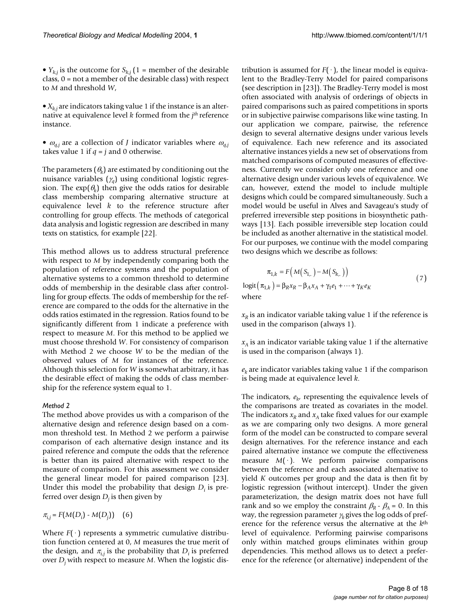•  $Y_{ki}$  is the outcome for  $S_{ki}$  (1 = member of the desirable class, 0 = not a member of the desirable class) with respect to *M* and threshold *W*,

•  $X_{k,i}$  are indicators taking value 1 if the instance is an alternative at equivalence level *k* formed from the *jth* reference instance.

•  $\omega_{q,i}$  are a collection of *J* indicator variables where  $\omega_{q,i}$ takes value 1 if  $q = j$  and 0 otherwise.

The parameters  $(\theta_k)$  are estimated by conditioning out the nuisance variables  $(\gamma_d)$  using conditional logistic regression. The  $exp(\theta_k)$  then give the odds ratios for desirable class membership comparing alternative structure at equivalence level *k* to the reference structure after controlling for group effects. The methods of categorical data analysis and logistic regression are described in many texts on statistics, for example [22].

This method allows us to address structural preference with respect to *M* by independently comparing both the population of reference systems and the population of alternative systems to a common threshold to determine odds of membership in the desirable class after controlling for group effects. The odds of membership for the reference are compared to the odds for the alternative in the odds ratios estimated in the regression. Ratios found to be significantly different from 1 indicate a preference with respect to measure *M*. For this method to be applied we must choose threshold *W*. For consistency of comparison with Method 2 we choose *W* to be the median of the observed values of *M* for instances of the reference. Although this selection for *W* is somewhat arbitrary, it has the desirable effect of making the odds of class membership for the reference system equal to 1.

#### *Method 2*

The method above provides us with a comparison of the alternative design and reference design based on a common threshold test. In Method 2 we perform a pairwise comparison of each alternative design instance and its paired reference and compute the odds that the reference is better than its paired alternative with respect to the measure of comparison. For this assessment we consider the general linear model for paired comparison [23]. Under this model the probability that design  $D_i$  is preferred over design  $D_i$  is then given by

$$
\pi_{i,j} = F(M(D_i) - M(D_j)) \quad (6)
$$

Where  $F(\cdot)$  represents a symmetric cumulative distribution function centered at 0, *M* measures the true merit of the design, and  $\pi_{i,j}$  is the probability that  $D_i$  is preferred over *Dj* with respect to measure *M*. When the logistic distribution is assumed for  $F(\cdot)$ , the linear model is equivalent to the Bradley-Terry Model for paired comparisons (see description in [23]). The Bradley-Terry model is most often associated with analysis of orderings of objects in paired comparisons such as paired competitions in sports or in subjective pairwise comparisons like wine tasting. In our application we compare, pairwise, the reference design to several alternative designs under various levels of equivalence. Each new reference and its associated alternative instances yields a new set of observations from matched comparisons of computed measures of effectiveness. Currently we consider only one reference and one alternative design under various levels of equivalence. We can, however, extend the model to include multiple designs which could be compared simultaneously. Such a model would be useful in Alves and Savageau's study of preferred irreversible step positions in biosynthetic pathways [13]. Each possible irreversible step location could be included as another alternative in the statistical model. For our purposes, we continue with the model comparing two designs which we describe as follows:

$$
\pi_{1,k} = F\left(M(S_{1,}) - M(S_{k,})\right)
$$
  
logit $\left(\pi_{1,k}\right) = \beta_R x_R - \beta_A x_A + \gamma_1 e_1 + \dots + \gamma_K e_K$  (7)  
where

 $x_R$  is an indicator variable taking value 1 if the reference is used in the comparison (always 1).

 $x_A$  is an indicator variable taking value 1 if the alternative is used in the comparison (always 1).

 $e_k$  are indicator variables taking value 1 if the comparison is being made at equivalence level *k*.

The indicators,  $e_{k}$ , representing the equivalence levels of the comparisons are treated as covariates in the model. The indicators  $x_R$  and  $x_A$  take fixed values for our example as we are comparing only two designs. A more general form of the model can be constructed to compare several design alternatives. For the reference instance and each paired alternative instance we compute the effectiveness measure  $M(\cdot)$ . We perform pairwise comparisons between the reference and each associated alternative to yield *K* outcomes per group and the data is then fit by logistic regression (without intercept). Under the given parameterization, the design matrix does not have full rank and so we employ the constraint  $\beta_R - \beta_A = 0$ . In this way, the regression parameter <sup>γ</sup> *<sup>k</sup>*gives the log odds of preference for the reference versus the alternative at the *k*th level of equivalence. Performing pairwise comparisons only within matched groups eliminates within group dependencies. This method allows us to detect a preference for the reference (or alternative) independent of the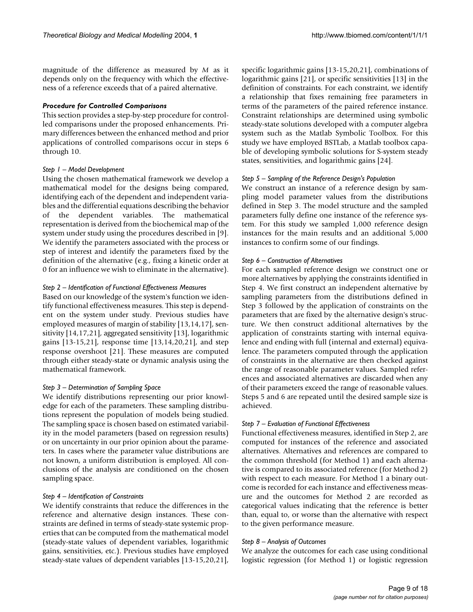magnitude of the difference as measured by *M* as it depends only on the frequency with which the effectiveness of a reference exceeds that of a paired alternative.

#### *Procedure for Controlled Comparisons*

This section provides a step-by-step procedure for controlled comparisons under the proposed enhancements. Primary differences between the enhanced method and prior applications of controlled comparisons occur in steps 6 through 10.

### *Step 1 – Model Development*

Using the chosen mathematical framework we develop a mathematical model for the designs being compared, identifying each of the dependent and independent variables and the differential equations describing the behavior of the dependent variables. The mathematical representation is derived from the biochemical map of the system under study using the procedures described in [9]. We identify the parameters associated with the process or step of interest and identify the parameters fixed by the definition of the alternative (e.g., fixing a kinetic order at 0 for an influence we wish to eliminate in the alternative).

#### *Step 2 – Identification of Functional Effectiveness Measures*

Based on our knowledge of the system's function we identify functional effectiveness measures. This step is dependent on the system under study. Previous studies have employed measures of margin of stability [13,14,17], sensitivity [14,17,21], aggregated sensitivity [13], logarithmic gains [13-15,21], response time [13,14,20,21], and step response overshoot [21]. These measures are computed through either steady-state or dynamic analysis using the mathematical framework.

#### *Step 3 – Determination of Sampling Space*

We identify distributions representing our prior knowledge for each of the parameters. These sampling distributions represent the population of models being studied. The sampling space is chosen based on estimated variability in the model parameters (based on regression results) or on uncertainty in our prior opinion about the parameters. In cases where the parameter value distributions are not known, a uniform distribution is employed. All conclusions of the analysis are conditioned on the chosen sampling space.

#### *Step 4 – Identification of Constraints*

We identify constraints that reduce the differences in the reference and alternative design instances. These constraints are defined in terms of steady-state systemic properties that can be computed from the mathematical model (steady-state values of dependent variables, logarithmic gains, sensitivities, etc.). Previous studies have employed steady-state values of dependent variables [13-15,20,21],

specific logarithmic gains [13-15,20,21], combinations of logarithmic gains [21], or specific sensitivities [13] in the definition of constraints. For each constraint, we identify a relationship that fixes remaining free parameters in terms of the parameters of the paired reference instance. Constraint relationships are determined using symbolic steady-state solutions developed with a computer algebra system such as the Matlab Symbolic Toolbox. For this study we have employed BSTLab, a Matlab toolbox capable of developing symbolic solutions for S-system steady states, sensitivities, and logarithmic gains [24].

#### *Step 5 – Sampling of the Reference Design's Population*

We construct an instance of a reference design by sampling model parameter values from the distributions defined in Step 3. The model structure and the sampled parameters fully define one instance of the reference system. For this study we sampled 1,000 reference design instances for the main results and an additional 5,000 instances to confirm some of our findings.

#### *Step 6 – Construction of Alternatives*

For each sampled reference design we construct one or more alternatives by applying the constraints identified in Step 4. We first construct an independent alternative by sampling parameters from the distributions defined in Step 3 followed by the application of constraints on the parameters that are fixed by the alternative design's structure. We then construct additional alternatives by the application of constraints starting with internal equivalence and ending with full (internal and external) equivalence. The parameters computed through the application of constraints in the alternative are then checked against the range of reasonable parameter values. Sampled references and associated alternatives are discarded when any of their parameters exceed the range of reasonable values. Steps 5 and 6 are repeated until the desired sample size is achieved.

#### *Step 7 – Evaluation of Functional Effectiveness*

Functional effectiveness measures, identified in Step 2, are computed for instances of the reference and associated alternatives. Alternatives and references are compared to the common threshold (for Method 1) and each alternative is compared to its associated reference (for Method 2) with respect to each measure. For Method 1 a binary outcome is recorded for each instance and effectiveness measure and the outcomes for Method 2 are recorded as categorical values indicating that the reference is better than, equal to, or worse than the alternative with respect to the given performance measure.

#### *Step 8 – Analysis of Outcomes*

We analyze the outcomes for each case using conditional logistic regression (for Method 1) or logistic regression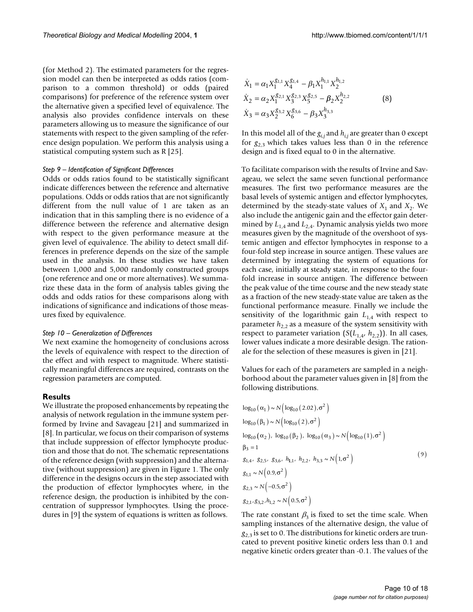(for Method 2). The estimated parameters for the regression model can then be interpreted as odds ratios (comparison to a common threshold) or odds (paired comparisons) for preference of the reference system over the alternative given a specified level of equivalence. The analysis also provides confidence intervals on these parameters allowing us to measure the significance of our statements with respect to the given sampling of the reference design population. We perform this analysis using a statistical computing system such as R [25].

#### *Step 9 – Identification of Significant Differences*

Odds or odds ratios found to be statistically significant indicate differences between the reference and alternative populations. Odds or odds ratios that are not significantly different from the null value of 1 are taken as an indication that in this sampling there is no evidence of a difference between the reference and alternative design with respect to the given performance measure at the given level of equivalence. The ability to detect small differences in preference depends on the size of the sample used in the analysis. In these studies we have taken between 1,000 and 5,000 randomly constructed groups (one reference and one or more alternatives). We summarize these data in the form of analysis tables giving the odds and odds ratios for these comparisons along with indications of significance and indications of those measures fixed by equivalence.

#### *Step 10 – Generalization of Differences*

We next examine the homogeneity of conclusions across the levels of equivalence with respect to the direction of the effect and with respect to magnitude. Where statistically meaningful differences are required, contrasts on the regression parameters are computed.

#### **Results**

We illustrate the proposed enhancements by repeating the analysis of network regulation in the immune system performed by Irvine and Savageau [21] and summarized in [8]. In particular, we focus on their comparison of systems that include suppression of effector lymphocyte production and those that do not. The schematic representations of the reference design (with suppression) and the alternative (without suppression) are given in Figure 1. The only difference in the designs occurs in the step associated with the production of effector lymphocytes where, in the reference design, the production is inhibited by the concentration of suppressor lymphocytes. Using the procedures in [9] the system of equations is written as follows.

$$
\dot{X}_1 = \alpha_1 X_1^{g_{1,1}} X_4^{g_{1,4}} - \beta_1 X_1^{h_{1,1}} X_2^{h_{1,2}} \n\dot{X}_2 = \alpha_2 X_1^{g_{2,1}} X_3^{g_{2,3}} X_5^{g_{2,5}} - \beta_2 X_2^{h_{2,2}} \n\dot{X}_3 = \alpha_3 X_2^{g_{3,2}} X_6^{g_{3,6}} - \beta_3 X_3^{h_{3,3}}
$$
\n(8)

In this model all of the *gi*,*j* and *hi*,*j* are greater than 0 except for  $g_{2,3}$  which takes values less than 0 in the reference design and is fixed equal to 0 in the alternative.

To facilitate comparison with the results of Irvine and Savageau, we select the same seven functional performance measures. The first two performance measures are the basal levels of systemic antigen and effector lymphocytes, determined by the steady-state values of  $X_1$  and  $X_2$ . We also include the antigenic gain and the effector gain determined by  $L_{1,4}$  and  $L_{2,4}$ . Dynamic analysis yields two more measures given by the magnitude of the overshoot of systemic antigen and effector lymphocytes in response to a four-fold step increase in source antigen. These values are determined by integrating the system of equations for each case, initially at steady state, in response to the fourfold increase in source antigen. The difference between the peak value of the time course and the new steady state as a fraction of the new steady-state value are taken as the functional performance measure. Finally we include the sensitivity of the logarithmic gain  $L_{1,4}$  with respect to parameter  $h_{2,2}$  as a measure of the system sensitivity with respect to parameter variation  $(S(L_{1,4}, h_{2,2}))$ . In all cases, lower values indicate a more desirable design. The rationale for the selection of these measures is given in [21].

Values for each of the parameters are sampled in a neighborhood about the parameter values given in [8] from the following distributions.

$$
\log_{10}(\alpha_1) \sim N(\log_{10}(2.02), \sigma^2)
$$
  
\n
$$
\log_{10}(\beta_1) \sim N(\log_{10}(2), \sigma^2)
$$
  
\n
$$
\log_{10}(\alpha_2), \log_{10}(\beta_2), \log_{10}(\alpha_3) \sim N(\log_{10}(1), \sigma^2)
$$
  
\n
$$
\beta_3 = 1
$$
  
\n
$$
g_{1,4}, g_{2,5}, g_{3,6}, h_{1,1}, h_{2,2}, h_{3,3} \sim N(1, \sigma^2)
$$
  
\n
$$
g_{1,1} \sim N(0.9, \sigma^2)
$$
  
\n
$$
g_{2,3} \sim N(-0.5, \sigma^2)
$$
  
\n
$$
g_{2,1}, g_{3,2}, h_{1,2} \sim N(0.5, \sigma^2)
$$
  
\n(9)

The rate constant  $\beta_3$  is fixed to set the time scale. When sampling instances of the alternative design, the value of  $g_{2,3}$  is set to 0. The distributions for kinetic orders are truncated to prevent positive kinetic orders less than 0.1 and negative kinetic orders greater than -0.1. The values of the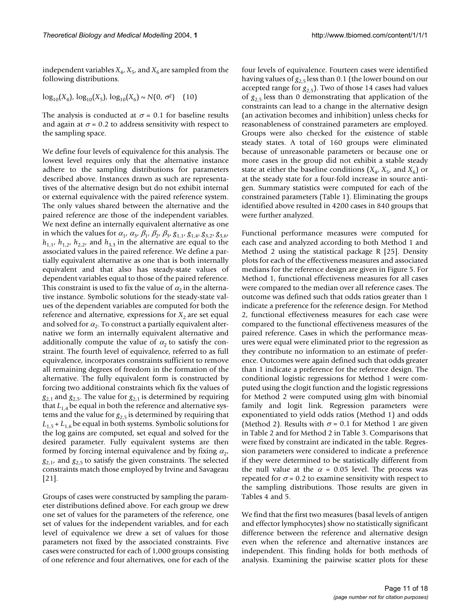independent variables  $X_4$ ,  $X_5$ , and  $X_6$  are sampled from the following distributions.

$$
\log_{10}(X_4), \log_{10}(X_5), \log_{10}(X_6) \sim N(0, \sigma^2) \quad (10)
$$

The analysis is conducted at  $\sigma$  = 0.1 for baseline results and again at  $\sigma$  = 0.2 to address sensitivity with respect to the sampling space.

We define four levels of equivalence for this analysis. The lowest level requires only that the alternative instance adhere to the sampling distributions for parameters described above. Instances drawn as such are representatives of the alternative design but do not exhibit internal or external equivalence with the paired reference system. The only values shared between the alternative and the paired reference are those of the independent variables. We next define an internally equivalent alternative as one in which the values for  $\alpha_1$ ,  $\alpha_3$ ,  $\beta_1$ ,  $\beta_2$ ,  $\beta_3$ ,  $g_{1,1}$ ,  $g_{1,4}$ ,  $g_{3,2}$ ,  $g_{3,6}$ ,  $h_{1,1}$ ,  $h_{1,2}$ ,  $h_{2,2}$ , and  $h_{3,3}$  in the alternative are equal to the associated values in the paired reference. We define a partially equivalent alternative as one that is both internally equivalent and that also has steady-state values of dependent variables equal to those of the paired reference. This constraint is used to fix the value of  $\alpha_2$  in the alternative instance. Symbolic solutions for the steady-state values of the dependent variables are computed for both the reference and alternative, expressions for  $X_2$  are set equal and solved for  $\alpha_2$ . To construct a partially equivalent alternative we form an internally equivalent alternative and additionally compute the value of  $\alpha_2$  to satisfy the constraint. The fourth level of equivalence, referred to as full equivalence, incorporates constraints sufficient to remove all remaining degrees of freedom in the formation of the alternative. The fully equivalent form is constructed by forcing two additional constraints which fix the values of  $g_{2,1}$  and  $g_{2,5}$ . The value for  $g_{2,1}$  is determined by requiring that  $L_{1,4}$  be equal in both the reference and alternative systems and the value for  $g_{2,5}$  is determined by requiring that  $L_{1,5} + L_{1,6}$  be equal in both systems. Symbolic solutions for the log gains are computed, set equal and solved for the desired parameter. Fully equivalent systems are then formed by forcing internal equivalence and by fixing  $\alpha_{2}$ ,  $g_{2,1}$ , and  $g_{2,5}$  to satisfy the given constraints. The selected constraints match those employed by Irvine and Savageau [21].

Groups of cases were constructed by sampling the parameter distributions defined above. For each group we drew one set of values for the parameters of the reference, one set of values for the independent variables, and for each level of equivalence we drew a set of values for those parameters not fixed by the associated constraints. Five cases were constructed for each of 1,000 groups consisting of one reference and four alternatives, one for each of the four levels of equivalence. Fourteen cases were identified having values of  $g_{2,5}$  less than 0.1 (the lower bound on our accepted range for  $g_{2,5}$ ). Two of those 14 cases had values of *g*2,5 less than 0 demonstrating that application of the constraints can lead to a change in the alternative design (an activation becomes and inhibition) unless checks for reasonableness of constrained parameters are employed. Groups were also checked for the existence of stable steady states. A total of 160 groups were eliminated because of unreasonable parameters or because one or more cases in the group did not exhibit a stable steady state at either the baseline conditions  $(X_4, X_5, \text{ and } X_6)$  or at the steady state for a four-fold increase in source antigen. Summary statistics were computed for each of the constrained parameters (Table [1](#page-11-0)). Eliminating the groups identified above resulted in 4200 cases in 840 groups that were further analyzed.

Functional performance measures were computed for each case and analyzed according to both Method 1 and Method 2 using the statistical package R [25]. Density plots for each of the effectiveness measures and associated medians for the reference design are given in Figure 5. For Method 1, functional effectiveness measures for all cases were compared to the median over all reference cases. The outcome was defined such that odds ratios greater than 1 indicate a preference for the reference design. For Method 2, functional effectiveness measures for each case were compared to the functional effectiveness measures of the paired reference. Cases in which the performance measures were equal were eliminated prior to the regression as they contribute no information to an estimate of preference. Outcomes were again defined such that odds greater than 1 indicate a preference for the reference design. The conditional logistic regressions for Method 1 were computed using the clogit function and the logistic regressions for Method 2 were computed using glm with binomial family and logit link. Regression parameters were exponentiated to yield odds ratios (Method 1) and odds (Method 2). Results with  $\sigma$  = 0.1 for Method 1 are given in Table [2](#page-12-0) and for Method 2 in Table [3](#page-12-1). Comparisons that were fixed by constraint are indicated in the table. Regression parameters were considered to indicate a preference if they were determined to be statistically different from the null value at the  $\alpha$  = 0.05 level. The process was repeated for  $\sigma$  = 0.2 to examine sensitivity with respect to the sampling distributions. Those results are given in Tables [4](#page-13-0) and [5](#page-13-1).

We find that the first two measures (basal levels of antigen and effector lymphocytes) show no statistically significant difference between the reference and alternative design even when the reference and alternative instances are independent. This finding holds for both methods of analysis. Examining the pairwise scatter plots for these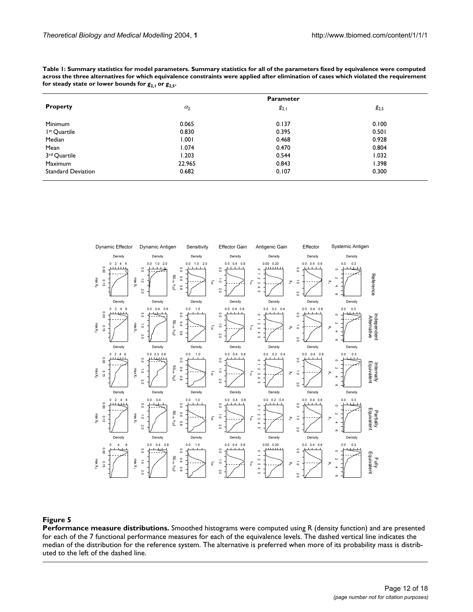<span id="page-11-0"></span>**Table 1: Summary statistics for model parameters. Summary statistics for all of the parameters fixed by equivalence were computed across the three alternatives for which equivalence constraints were applied after elimination of cases which violated the requirement**  for steady state or lower bounds for  $g_{2,1}$  or  $g_{2,5}$ .

|                           |            | <b>Parameter</b> |           |
|---------------------------|------------|------------------|-----------|
| <b>Property</b>           | $\alpha_2$ | $g_{2,1}$        | $g_{2,5}$ |
| Minimum                   | 0.065      | 0.137            | 0.100     |
| I <sup>st</sup> Quartile  | 0.830      | 0.395            | 0.501     |
| Median                    | 1.001      | 0.468            | 0.928     |
| Mean                      | 1.074      | 0.470            | 0.804     |
| 3rd Quartile              | 1.203      | 0.544            | 1.032     |
| Maximum                   | 22.965     | 0.843            | 1.398     |
| <b>Standard Deviation</b> | 0.682      | 0.107            | 0.300     |



#### **Figure 5**

**Performance measure distributions.** Smoothed histograms were computed using R (density function) and are presented for each of the 7 functional performance measures for each of the equivalence levels. The dashed vertical line indicates the median of the distribution for the reference system. The alternative is preferred when more of its probability mass is distrib-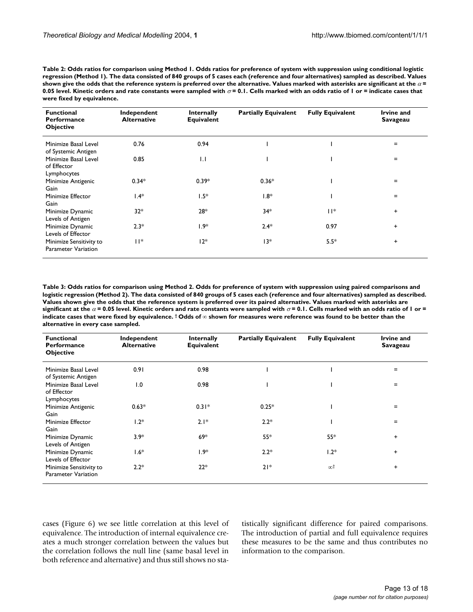<span id="page-12-0"></span>**Table 2: Odds ratios for comparison using Method 1. Odds ratios for preference of system with suppression using conditional logistic regression (Method 1). The data consisted of 840 groups of 5 cases each (reference and four alternatives) sampled as described. Values shown give the odds that the reference system is preferred over the alternative. Values marked with asterisks are significant at the** <sup>α</sup> **= 0.05** level. Kinetic orders and rate constants were sampled with  $\sigma$  = 0.1. Cells marked with an odds ratio of 1 or = indicate cases that **were fixed by equivalence.**

| <b>Functional</b><br>Performance<br><b>Objective</b>  | Independent<br><b>Alternative</b> | <b>Internally</b><br>Equivalent | <b>Partially Equivalent</b> | <b>Fully Equivalent</b> | <b>Irvine and</b><br><b>Savageau</b> |
|-------------------------------------------------------|-----------------------------------|---------------------------------|-----------------------------|-------------------------|--------------------------------------|
| Minimize Basal Level<br>of Systemic Antigen           | 0.76                              | 0.94                            |                             |                         | $=$                                  |
| Minimize Basal Level<br>of Effector<br>Lymphocytes    | 0.85                              | $\overline{1}$ .                |                             |                         | $=$                                  |
| Minimize Antigenic<br>Gain                            | $0.34*$                           | $0.39*$                         | $0.36*$                     |                         | $\equiv$                             |
| Minimize Effector<br>Gain                             | $1.4*$                            | $1.5*$                          | $1.8*$                      |                         | $\equiv$                             |
| Minimize Dynamic<br>Levels of Antigen                 | $32*$                             | $28*$                           | $34*$                       | $  $ *                  | $\ddot{}$                            |
| Minimize Dynamic<br>Levels of Effector                | $2.3*$                            | ∗9. ا                           | $2.4*$                      | 0.97                    | $\ddot{}$                            |
| Minimize Sensitivity to<br><b>Parameter Variation</b> | $  $ *                            | $12*$                           | $13*$                       | $5.5*$                  | $\ddot{}$                            |

<span id="page-12-1"></span>**Table 3: Odds ratios for comparison using Method 2. Odds for preference of system with suppression using paired comparisons and logistic regression (Method 2). The data consisted of 840 groups of 5 cases each (reference and four alternatives) sampled as described. Values shown give the odds that the reference system is preferred over its paired alternative. Values marked with asterisks are** significant at the *α* = 0.05 level. Kinetic orders and rate constants were sampled with *σ* = 0.1. Cells marked with an odds ratio of 1 or = **indicate cases that were fixed by equivalence. † Odds of** ∞ **shown for measures were reference was found to be better than the alternative in every case sampled.**

| <b>Functional</b><br><b>Performance</b><br><b>Objective</b> | Independent<br><b>Alternative</b> | <b>Internally</b><br>Equivalent | <b>Partially Equivalent</b> | <b>Fully Equivalent</b> | Irvine and<br>Savageau |
|-------------------------------------------------------------|-----------------------------------|---------------------------------|-----------------------------|-------------------------|------------------------|
| Minimize Basal Level<br>of Systemic Antigen                 | 0.91                              | 0.98                            |                             |                         | $=$                    |
| Minimize Basal Level<br>of Effector<br>Lymphocytes          | 1.0                               | 0.98                            |                             |                         | $=$                    |
| Minimize Antigenic<br>Gain                                  | $0.63*$                           | $0.31*$                         | $0.25*$                     |                         | $=$                    |
| Minimize Effector<br>Gain                                   | $1.2*$                            | $2.1*$                          | $2.2*$                      |                         | $=$                    |
| Minimize Dynamic<br>Levels of Antigen                       | $3.9*$                            | $69*$                           | $55*$                       | $55*$                   | $\ddot{}$              |
| Minimize Dynamic<br>Levels of Effector                      | $1.6*$                            | $1.9*$                          | $2.2*$                      | $1.2*$                  | $\ddot{}$              |
| Minimize Sensitivity to<br><b>Parameter Variation</b>       | $2.2*$                            | $22*$                           | $21*$                       | 00t                     | $\ddot{}$              |

cases (Figure [6](#page-14-0)) we see little correlation at this level of equivalence. The introduction of internal equivalence creates a much stronger correlation between the values but the correlation follows the null line (same basal level in both reference and alternative) and thus still shows no statistically significant difference for paired comparisons. The introduction of partial and full equivalence requires these measures to be the same and thus contributes no information to the comparison.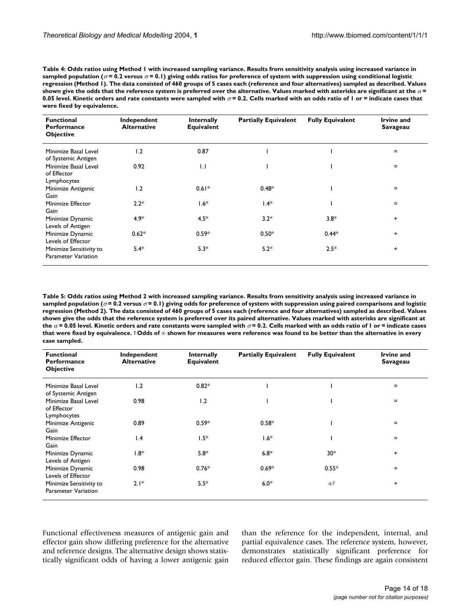<span id="page-13-0"></span>**Table 4: Odds ratios using Method 1 with increased sampling variance. Results from sensitivity analysis using increased variance in sampled population (**<sup>σ</sup> **= 0.2 versus** <sup>σ</sup> **= 0.1) giving odds ratios for preference of system with suppression using conditional logistic regression (Method 1). The data consisted of 460 groups of 5 cases each (reference and four alternatives) sampled as described. Values shown give the odds that the reference system is preferred over the alternative. Values marked with asterisks are significant at the** <sup>α</sup> **= 0.05** level. Kinetic orders and rate constants were sampled with  $\sigma$  = 0.2. Cells marked with an odds ratio of 1 or = indicate cases that **were fixed by equivalence.**

| <b>Functional</b><br><b>Performance</b><br><b>Objective</b> | Independent<br><b>Alternative</b> | <b>Internally</b><br>Equivalent | <b>Partially Equivalent</b> | <b>Fully Equivalent</b> | <b>Irvine and</b><br>Savageau |
|-------------------------------------------------------------|-----------------------------------|---------------------------------|-----------------------------|-------------------------|-------------------------------|
| Minimize Basal Level<br>of Systemic Antigen                 | 1.2                               | 0.87                            |                             |                         | $=$                           |
| Minimize Basal Level<br>of Effector<br>Lymphocytes          | 0.92                              | $\mathsf{L}$                    |                             |                         | $=$                           |
| Minimize Antigenic<br>Gain                                  | 1.2                               | $0.61*$                         | $0.48*$                     |                         | $=$                           |
| Minimize Effector<br>Gain                                   | $2.2*$                            | $1.6*$                          | $1.4*$                      |                         | $=$                           |
| Minimize Dynamic<br>Levels of Antigen                       | $4.9*$                            | $4.5*$                          | $3.2*$                      | $3.8*$                  | $\ddot{}$                     |
| Minimize Dynamic<br>Levels of Effector                      | $0.62*$                           | $0.59*$                         | $0.50*$                     | $0.44*$                 | $\ddot{}$                     |
| Minimize Sensitivity to<br><b>Parameter Variation</b>       | $5.4*$                            | $5.3*$                          | $5.2*$                      | $2.5*$                  | $\ddot{}$                     |

<span id="page-13-1"></span>**Table 5: Odds ratios using Method 2 with increased sampling variance. Results from sensitivity analysis using increased variance in sampled population (**<sup>σ</sup> **= 0.2 versus** <sup>σ</sup> **= 0.1) giving odds for preference of system with suppression using paired comparisons and logistic regression (Method 2). The data consisted of 460 groups of 5 cases each (reference and four alternatives) sampled as described. Values shown give the odds that the reference system is preferred over its paired alternative. Values marked with asterisks are significant at**  the *α* = 0.05 level. Kinetic orders and rate constants were sampled with  $\sigma$  = 0.2. Cells marked with an odds ratio of 1 or = indicate cases **that were fixed by equivalence. † Odds of** ∞ **shown for measures were reference was found to be better than the alternative in every case sampled.**

| <b>Functional</b><br>Performance<br><b>Objective</b>  | Independent<br><b>Alternative</b> | <b>Internally</b><br>Equivalent | <b>Partially Equivalent</b> | <b>Fully Equivalent</b> | <b>Irvine and</b><br>Savageau |
|-------------------------------------------------------|-----------------------------------|---------------------------------|-----------------------------|-------------------------|-------------------------------|
| Minimize Basal Level<br>of Systemic Antigen           | 1.2                               | $0.82*$                         |                             |                         | $\equiv$                      |
| Minimize Basal Level<br>of Effector<br>Lymphocytes    | 0.98                              | 1.2                             |                             |                         | $=$                           |
| Minimize Antigenic<br>Gain                            | 0.89                              | $0.59*$                         | $0.58*$                     |                         | $\equiv$                      |
| Minimize Effector<br>Gain                             | $\mathsf{I}$ .4                   | $1.5*$                          | $1.6*$                      |                         | $=$                           |
| Minimize Dynamic<br>Levels of Antigen                 | $1.8*$                            | $5.8*$                          | $6.8*$                      | $30*$                   | +                             |
| Minimize Dynamic<br>Levels of Effector                | 0.98                              | $0.76*$                         | $0.69*$                     | $0.55*$                 | $\ddot{}$                     |
| Minimize Sensitivity to<br><b>Parameter Variation</b> | $2.1*$                            | $5.5*$                          | $6.0*$                      | ∞†                      | +                             |

Functional effectiveness measures of antigenic gain and effector gain show differing preference for the alternative and reference designs. The alternative design shows statistically significant odds of having a lower antigenic gain than the reference for the independent, internal, and partial equivalence cases. The reference system, however, demonstrates statistically significant preference for reduced effector gain. These findings are again consistent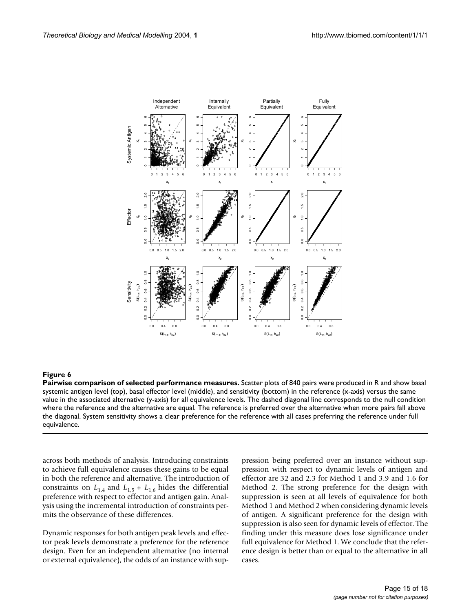<span id="page-14-0"></span>

#### **Figure 6**

**Pairwise comparison of selected performance measures.** Scatter plots of 840 pairs were produced in R and show basal systemic antigen level (top), basal effector level (middle), and sensitivity (bottom) in the reference (x-axis) versus the same value in the associated alternative (y-axis) for all equivalence levels. The dashed diagonal line corresponds to the null condition where the reference and the alternative are equal. The reference is preferred over the alternative when more pairs fall above the diagonal. System sensitivity shows a clear preference for the reference with all cases preferring the reference under full equivalence.

across both methods of analysis. Introducing constraints to achieve full equivalence causes these gains to be equal in both the reference and alternative. The introduction of constraints on  $L_{1,4}$  and  $L_{1,5} + L_{1,6}$  hides the differential preference with respect to effector and antigen gain. Analysis using the incremental introduction of constraints permits the observance of these differences.

Dynamic responses for both antigen peak levels and effector peak levels demonstrate a preference for the reference design. Even for an independent alternative (no internal or external equivalence), the odds of an instance with suppression being preferred over an instance without suppression with respect to dynamic levels of antigen and effector are 32 and 2.3 for Method 1 and 3.9 and 1.6 for Method 2. The strong preference for the design with suppression is seen at all levels of equivalence for both Method 1 and Method 2 when considering dynamic levels of antigen. A significant preference for the design with suppression is also seen for dynamic levels of effector. The finding under this measure does lose significance under full equivalence for Method 1. We conclude that the reference design is better than or equal to the alternative in all cases.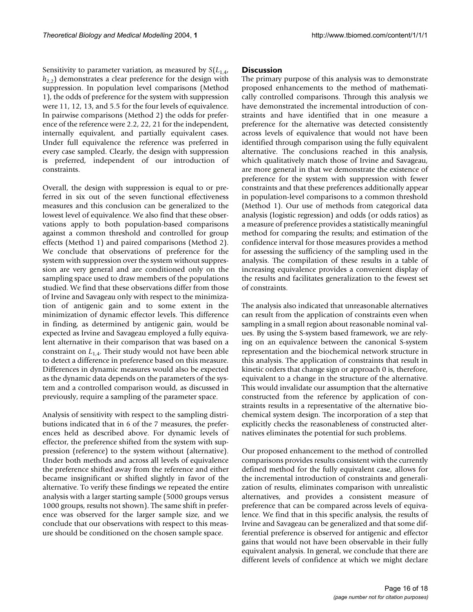Sensitivity to parameter variation, as measured by  $S(L_{1,4},$  $h_{2,2}$ ) demonstrates a clear preference for the design with suppression. In population level comparisons (Method 1), the odds of preference for the system with suppression were 11, 12, 13, and 5.5 for the four levels of equivalence. In pairwise comparisons (Method 2) the odds for preference of the reference were 2.2, 22, 21 for the independent, internally equivalent, and partially equivalent cases. Under full equivalence the reference was preferred in every case sampled. Clearly, the design with suppression is preferred, independent of our introduction of constraints.

Overall, the design with suppression is equal to or preferred in six out of the seven functional effectiveness measures and this conclusion can be generalized to the lowest level of equivalence. We also find that these observations apply to both population-based comparisons against a common threshold and controlled for group effects (Method 1) and paired comparisons (Method 2). We conclude that observations of preference for the system with suppression over the system without suppression are very general and are conditioned only on the sampling space used to draw members of the populations studied. We find that these observations differ from those of Irvine and Savageau only with respect to the minimization of antigenic gain and to some extent in the minimization of dynamic effector levels. This difference in finding, as determined by antigenic gain, would be expected as Irvine and Savageau employed a fully equivalent alternative in their comparison that was based on a constraint on  $L_{1,4}$ . Their study would not have been able to detect a difference in preference based on this measure. Differences in dynamic measures would also be expected as the dynamic data depends on the parameters of the system and a controlled comparison would, as discussed in previously, require a sampling of the parameter space.

Analysis of sensitivity with respect to the sampling distributions indicated that in 6 of the 7 measures, the preferences held as described above. For dynamic levels of effector, the preference shifted from the system with suppression (reference) to the system without (alternative). Under both methods and across all levels of equivalence the preference shifted away from the reference and either became insignificant or shifted slightly in favor of the alternative. To verify these findings we repeated the entire analysis with a larger starting sample (5000 groups versus 1000 groups, results not shown). The same shift in preference was observed for the larger sample size, and we conclude that our observations with respect to this measure should be conditioned on the chosen sample space.

#### **Discussion**

The primary purpose of this analysis was to demonstrate proposed enhancements to the method of mathematically controlled comparisons. Through this analysis we have demonstrated the incremental introduction of constraints and have identified that in one measure a preference for the alternative was detected consistently across levels of equivalence that would not have been identified through comparison using the fully equivalent alternative. The conclusions reached in this analysis, which qualitatively match those of Irvine and Savageau, are more general in that we demonstrate the existence of preference for the system with suppression with fewer constraints and that these preferences additionally appear in population-level comparisons to a common threshold (Method 1). Our use of methods from categorical data analysis (logistic regression) and odds (or odds ratios) as a measure of preference provides a statistically meaningful method for comparing the results; and estimation of the confidence interval for those measures provides a method for assessing the sufficiency of the sampling used in the analysis. The compilation of these results in a table of increasing equivalence provides a convenient display of the results and facilitates generalization to the fewest set of constraints.

The analysis also indicated that unreasonable alternatives can result from the application of constraints even when sampling in a small region about reasonable nominal values. By using the S-system based framework, we are relying on an equivalence between the canonical S-system representation and the biochemical network structure in this analysis. The application of constraints that result in kinetic orders that change sign or approach 0 is, therefore, equivalent to a change in the structure of the alternative. This would invalidate our assumption that the alternative constructed from the reference by application of constraints results in a representative of the alternative biochemical system design. The incorporation of a step that explicitly checks the reasonableness of constructed alternatives eliminates the potential for such problems.

Our proposed enhancement to the method of controlled comparisons provides results consistent with the currently defined method for the fully equivalent case, allows for the incremental introduction of constraints and generalization of results, eliminates comparison with unrealistic alternatives, and provides a consistent measure of preference that can be compared across levels of equivalence. We find that in this specific analysis, the results of Irvine and Savageau can be generalized and that some differential preference is observed for antigenic and effector gains that would not have been observable in their fully equivalent analysis. In general, we conclude that there are different levels of confidence at which we might declare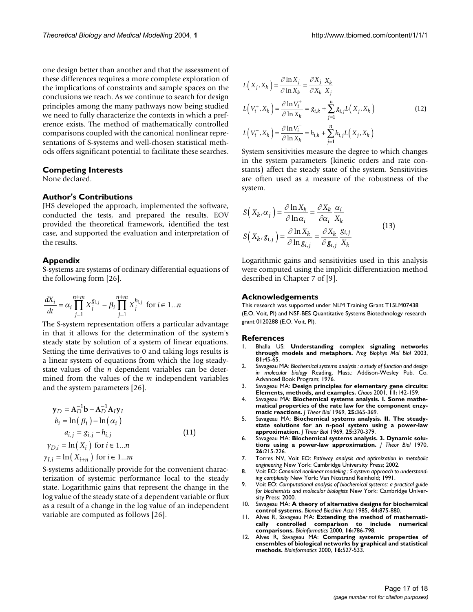one design better than another and that the assessment of these differences requires a more complete exploration of the implications of constraints and sample spaces on the conclusions we reach. As we continue to search for design principles among the many pathways now being studied we need to fully characterize the contexts in which a preference exists. The method of mathematically controlled comparisons coupled with the canonical nonlinear representations of S-systems and well-chosen statistical methods offers significant potential to facilitate these searches.

#### **Competing Interests**

None declared.

#### **Author's Contributions**

JHS developed the approach, implemented the software, conducted the tests, and prepared the results. EOV provided the theoretical framework, identified the test case, and supported the evaluation and interpretation of the results.

#### **Appendix**

S-systems are systems of ordinary differential equations of the following form [26].

$$
\frac{dX_i}{dt} = \alpha_i \prod_{j=1}^{n+m} X_j^{\mathcal{S}_{i,j}} - \beta_i \prod_{j=1}^{n+m} X_j^{h_{i,j}} \text{ for } i \in 1...n
$$

The S-system representation offers a particular advantage in that it allows for the determination of the system's steady state by solution of a system of linear equations. Setting the time derivatives to 0 and taking logs results is a linear system of equations from which the log steadystate values of the *n* dependent variables can be determined from the values of the *m* independent variables and the system parameters [26].

$$
\mathbf{y}_D = \mathbf{A}_D^{-1} \mathbf{b} - \mathbf{A}_D^{-1} \mathbf{A}_I \mathbf{y}_I
$$
  
\n
$$
b_i = \ln(\beta_i) - \ln(\alpha_i)
$$
  
\n
$$
a_{i,j} = g_{i,j} - h_{i,j}
$$
  
\n
$$
\gamma_{D,i} = \ln(X_i) \text{ for } i \in 1...n
$$
  
\n
$$
\gamma_{I,i} = \ln(X_{i+n}) \text{ for } i \in 1...m
$$
\n(11)

S-systems additionally provide for the convenient characterization of systemic performance local to the steady state. Logarithmic gains that represent the change in the log value of the steady state of a dependent variable or flux as a result of a change in the log value of an independent variable are computed as follows [26].

$$
L(X_j, X_k) = \frac{\partial \ln X_j}{\partial \ln X_k} = \frac{\partial X_j}{\partial X_k} \frac{X_k}{X_j}
$$
  
\n
$$
L(V_i^+, X_k) = \frac{\partial \ln V_i^+}{\partial \ln X_k} = g_{i,k} + \sum_{j=1}^n g_{i,j} L(X_j, X_k)
$$
  
\n
$$
L(V_i^-, X_k) = \frac{\partial \ln V_i^-}{\partial \ln X_k} = h_{i,k} + \sum_{j=1}^n h_{i,j} L(X_j, X_k)
$$
\n(12)

System sensitivities measure the degree to which changes in the system parameters (kinetic orders and rate constants) affect the steady state of the system. Sensitivities are often used as a measure of the robustness of the system.

$$
S(X_k, \alpha_j) = \frac{\partial \ln X_k}{\partial \ln \alpha_i} = \frac{\partial X_k}{\partial \alpha_i} \frac{\alpha_i}{X_k}
$$
  

$$
S(X_k, g_{i,j}) = \frac{\partial \ln X_k}{\partial \ln g_{i,j}} = \frac{\partial X_k}{\partial g_{i,j}} \frac{g_{i,j}}{X_k}
$$
(13)

Logarithmic gains and sensitivities used in this analysis were computed using the implicit differentiation method described in Chapter 7 of [9].

#### **Acknowledgements**

This research was supported under NLM Training Grant T15LM07438 (E.O. Voit, PI) and NSF-BES Quantitative Systems Biotechnology research grant 0120288 (E.O. Voit, PI).

#### **References**

- 1. Bhalla US: **[Understanding complex signaling networks](http://www.ncbi.nlm.nih.gov/entrez/query.fcgi?cmd=Retrieve&db=PubMed&dopt=Abstract&list_uids=10.1016/S0079-6107(02)00046-9) [through models and metaphors](http://www.ncbi.nlm.nih.gov/entrez/query.fcgi?cmd=Retrieve&db=PubMed&dopt=Abstract&list_uids=10.1016/S0079-6107(02)00046-9)[.](http://www.ncbi.nlm.nih.gov/entrez/query.fcgi?cmd=Retrieve&db=PubMed&dopt=Abstract&list_uids=12475569)** *Prog Biophys Mol Biol* 2003, **81:**45-65.
- 2. Savageau MA: *Biochemical systems analysis : a study of function and design in molecular biology* Reading, Mass.: Addison-Wesley Pub. Co. Advanced Book Program; 1976.
- 3. Savageau MA: **[Design principles for elementary gene circuits:](http://www.ncbi.nlm.nih.gov/entrez/query.fcgi?cmd=Retrieve&db=PubMed&dopt=Abstract&list_uids=10.1063/1.1349892) [Elements, methods, and examples](http://www.ncbi.nlm.nih.gov/entrez/query.fcgi?cmd=Retrieve&db=PubMed&dopt=Abstract&list_uids=10.1063/1.1349892)[.](http://www.ncbi.nlm.nih.gov/entrez/query.fcgi?cmd=Retrieve&db=PubMed&dopt=Abstract&list_uids=12779449)** *Chaos* 2001, **11:**142-159.
- 4. Savageau MA: **[Biochemical systems analysis. I. Some mathe](http://www.ncbi.nlm.nih.gov/entrez/query.fcgi?cmd=Retrieve&db=PubMed&dopt=Abstract&list_uids=5387046)[matical properties of the rate law for the component enzy](http://www.ncbi.nlm.nih.gov/entrez/query.fcgi?cmd=Retrieve&db=PubMed&dopt=Abstract&list_uids=5387046)[matic reactions.](http://www.ncbi.nlm.nih.gov/entrez/query.fcgi?cmd=Retrieve&db=PubMed&dopt=Abstract&list_uids=5387046)** *J Theor Biol* 1969, **25:**365-369.
- 5. Savageau MA: **[Biochemical systems analysis. II. The steady](http://www.ncbi.nlm.nih.gov/entrez/query.fcgi?cmd=Retrieve&db=PubMed&dopt=Abstract&list_uids=5387047)[state solutions for an n-pool system using a power-law](http://www.ncbi.nlm.nih.gov/entrez/query.fcgi?cmd=Retrieve&db=PubMed&dopt=Abstract&list_uids=5387047) [approximation.](http://www.ncbi.nlm.nih.gov/entrez/query.fcgi?cmd=Retrieve&db=PubMed&dopt=Abstract&list_uids=5387047)** *J Theor Biol* 1969, **25:**370-379.
- 6. Savageau MA: **[Biochemical systems analysis. 3. Dynamic solu](http://www.ncbi.nlm.nih.gov/entrez/query.fcgi?cmd=Retrieve&db=PubMed&dopt=Abstract&list_uids=5434343)[tions using a power-law approximation.](http://www.ncbi.nlm.nih.gov/entrez/query.fcgi?cmd=Retrieve&db=PubMed&dopt=Abstract&list_uids=5434343)** *J Theor Biol* 1970, **26:**215-226.
- 7. Torres NV, Voit EO: *Pathway analysis and optimization in metabolic engineering* New York: Cambridge University Press; 2002.
- 8. Voit EO: *Canonical nonlinear modeling : S-system approach to understanding complexity* New York: Van Nostrand Reinhold; 1991.
- 9. Voit EO: *Computational analysis of biochemical systems: a practical guide for biochemists and molecular biologists* New York: Cambridge University Press; 2000.
- 10. Savageau MA: **[A theory of alternative designs for biochemical](http://www.ncbi.nlm.nih.gov/entrez/query.fcgi?cmd=Retrieve&db=PubMed&dopt=Abstract&list_uids=4038287) [control systems.](http://www.ncbi.nlm.nih.gov/entrez/query.fcgi?cmd=Retrieve&db=PubMed&dopt=Abstract&list_uids=4038287)** *Biomed Biochim Acta* 1985, **44:**875-880.
- 11. Alves R, Savageau MA: **[Extending the method of mathemati](http://www.ncbi.nlm.nih.gov/entrez/query.fcgi?cmd=Retrieve&db=PubMed&dopt=Abstract&list_uids=10.1093/bioinformatics/16.9.786)[cally controlled comparison to include numerical](http://www.ncbi.nlm.nih.gov/entrez/query.fcgi?cmd=Retrieve&db=PubMed&dopt=Abstract&list_uids=10.1093/bioinformatics/16.9.786) [comparisons](http://www.ncbi.nlm.nih.gov/entrez/query.fcgi?cmd=Retrieve&db=PubMed&dopt=Abstract&list_uids=10.1093/bioinformatics/16.9.786)[.](http://www.ncbi.nlm.nih.gov/entrez/query.fcgi?cmd=Retrieve&db=PubMed&dopt=Abstract&list_uids=11108701)** *Bioinformatics* 2000, **16:**786-798.
- 12. Alves R, Savageau MA: **[Comparing systemic properties of](http://www.ncbi.nlm.nih.gov/entrez/query.fcgi?cmd=Retrieve&db=PubMed&dopt=Abstract&list_uids=10.1093/bioinformatics/16.6.527) [ensembles of biological networks by graphical and statistical](http://www.ncbi.nlm.nih.gov/entrez/query.fcgi?cmd=Retrieve&db=PubMed&dopt=Abstract&list_uids=10.1093/bioinformatics/16.6.527) [methods](http://www.ncbi.nlm.nih.gov/entrez/query.fcgi?cmd=Retrieve&db=PubMed&dopt=Abstract&list_uids=10.1093/bioinformatics/16.6.527)[.](http://www.ncbi.nlm.nih.gov/entrez/query.fcgi?cmd=Retrieve&db=PubMed&dopt=Abstract&list_uids=10980150)** *Bioinformatics* 2000, **16:**527-533.